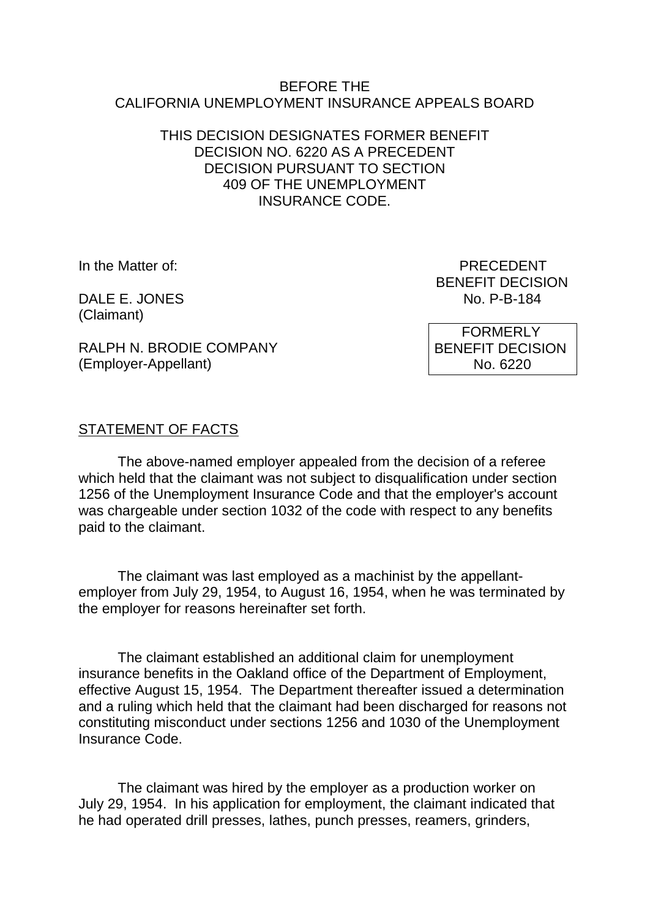#### BEFORE THE CALIFORNIA UNEMPLOYMENT INSURANCE APPEALS BOARD

### THIS DECISION DESIGNATES FORMER BENEFIT DECISION NO. 6220 AS A PRECEDENT DECISION PURSUANT TO SECTION 409 OF THE UNEMPLOYMENT INSURANCE CODE.

DALE E. JONES (Claimant)

In the Matter of: PRECEDENT BENEFIT DECISION<br>No. P-B-184

> FORMERLY BENEFIT DECISION No. 6220

RALPH N. BRODIE COMPANY (Employer-Appellant)

## STATEMENT OF FACTS

The above-named employer appealed from the decision of a referee which held that the claimant was not subject to disqualification under section 1256 of the Unemployment Insurance Code and that the employer's account was chargeable under section 1032 of the code with respect to any benefits paid to the claimant.

The claimant was last employed as a machinist by the appellantemployer from July 29, 1954, to August 16, 1954, when he was terminated by the employer for reasons hereinafter set forth.

The claimant established an additional claim for unemployment insurance benefits in the Oakland office of the Department of Employment, effective August 15, 1954. The Department thereafter issued a determination and a ruling which held that the claimant had been discharged for reasons not constituting misconduct under sections 1256 and 1030 of the Unemployment Insurance Code.

The claimant was hired by the employer as a production worker on July 29, 1954. In his application for employment, the claimant indicated that he had operated drill presses, lathes, punch presses, reamers, grinders,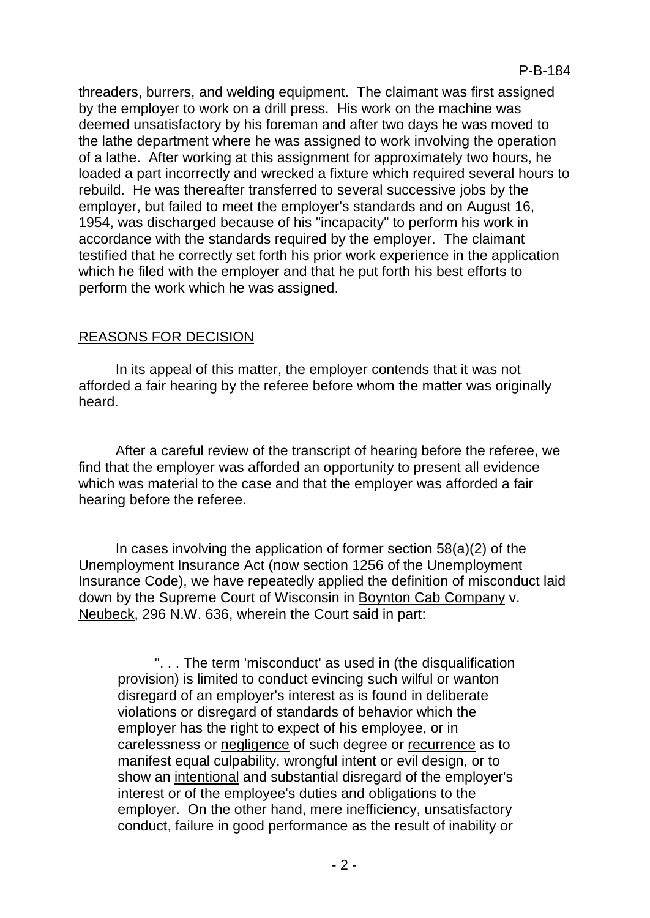threaders, burrers, and welding equipment. The claimant was first assigned by the employer to work on a drill press. His work on the machine was deemed unsatisfactory by his foreman and after two days he was moved to the lathe department where he was assigned to work involving the operation of a lathe. After working at this assignment for approximately two hours, he loaded a part incorrectly and wrecked a fixture which required several hours to rebuild. He was thereafter transferred to several successive jobs by the employer, but failed to meet the employer's standards and on August 16, 1954, was discharged because of his "incapacity" to perform his work in accordance with the standards required by the employer. The claimant testified that he correctly set forth his prior work experience in the application which he filed with the employer and that he put forth his best efforts to perform the work which he was assigned.

## REASONS FOR DECISION

In its appeal of this matter, the employer contends that it was not afforded a fair hearing by the referee before whom the matter was originally heard.

After a careful review of the transcript of hearing before the referee, we find that the employer was afforded an opportunity to present all evidence which was material to the case and that the employer was afforded a fair hearing before the referee.

In cases involving the application of former section  $58(a)(2)$  of the Unemployment Insurance Act (now section 1256 of the Unemployment Insurance Code), we have repeatedly applied the definition of misconduct laid down by the Supreme Court of Wisconsin in Boynton Cab Company v. Neubeck, 296 N.W. 636, wherein the Court said in part:

". . . The term 'misconduct' as used in (the disqualification provision) is limited to conduct evincing such wilful or wanton disregard of an employer's interest as is found in deliberate violations or disregard of standards of behavior which the employer has the right to expect of his employee, or in carelessness or negligence of such degree or recurrence as to manifest equal culpability, wrongful intent or evil design, or to show an intentional and substantial disregard of the employer's interest or of the employee's duties and obligations to the employer. On the other hand, mere inefficiency, unsatisfactory conduct, failure in good performance as the result of inability or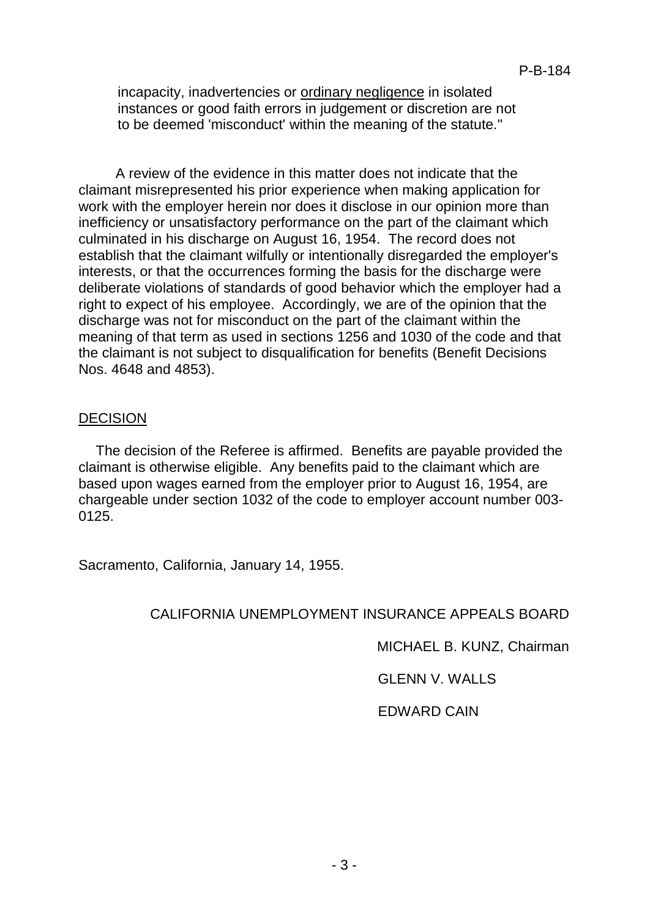incapacity, inadvertencies or ordinary negligence in isolated instances or good faith errors in judgement or discretion are not to be deemed 'misconduct' within the meaning of the statute."

A review of the evidence in this matter does not indicate that the claimant misrepresented his prior experience when making application for work with the employer herein nor does it disclose in our opinion more than inefficiency or unsatisfactory performance on the part of the claimant which culminated in his discharge on August 16, 1954. The record does not establish that the claimant wilfully or intentionally disregarded the employer's interests, or that the occurrences forming the basis for the discharge were deliberate violations of standards of good behavior which the employer had a right to expect of his employee. Accordingly, we are of the opinion that the discharge was not for misconduct on the part of the claimant within the meaning of that term as used in sections 1256 and 1030 of the code and that the claimant is not subject to disqualification for benefits (Benefit Decisions Nos. 4648 and 4853).

#### DECISION

The decision of the Referee is affirmed. Benefits are payable provided the claimant is otherwise eligible. Any benefits paid to the claimant which are based upon wages earned from the employer prior to August 16, 1954, are chargeable under section 1032 of the code to employer account number 003- 0125.

Sacramento, California, January 14, 1955.

### CALIFORNIA UNEMPLOYMENT INSURANCE APPEALS BOARD

MICHAEL B. KUNZ, Chairman

GLENN V. WALLS

EDWARD CAIN